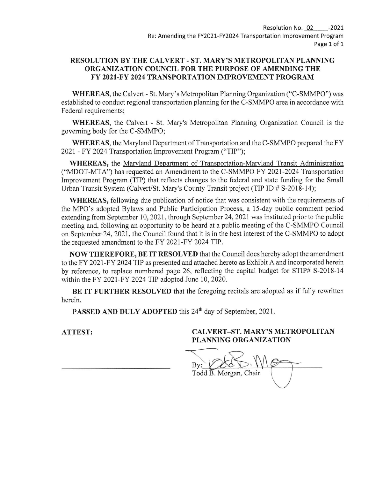#### RESOLUTION BY THE CALVERT - ST. MARY'S METROPOLITAN PLANNING ORGANIZATION COUNCIL FOR THE PURPOSE OF AMENDING THE FY 2021-FY 2024 TRANSPORTATION IMPROVEMENT PROGRAM

WHEREAS, the Calvert - St. Mary's Metropolitan Planning Organization ("C-SMMPO") was established to conduct regional transportation planning for the C-SMMPO area in accordance with Federal requirements;

WHEREAS, the Calvert - St. Mary's Metropolitan Planning Organization Council is the goveming body for the C-SMMPO;

WHEREAS, the Maryland Department of Transportation and the C-SMMPO prepared the FY 2021 - FY 2024 Transportation Improvement Program ("TIP");

WHEREAS, the Marvland Department of Transportation-Maryland Transit Administration C'MDOT-MTA") has requested an Amendment to the C-SMMPO FY 2021-2024 Transportation Improvement Program (TIP) that reflects changes to the federal and state funding for the Small Urban Transit System (Calvert/St. Mary's County Transit project (TIP ID # S-2018-14);

WHEREAS, following due publication of notice that was consistent with the requirements of the MPO's adopted Bylaws and Public Participation Process, a 15-day public comment period extending from September 10,2021, through September 24,2021 was instituted prior to the public meeting and, following an opportunity to be heard at a public meeting of the C-SMMPO Council on September 24, 2021, the Council found that it is in the best interest of the C-SMMPO to adopt the requested amendment to the FY 2021-FY 2024 TIP.

NOW THEREFORE, BE IT RESOLYED that the Council does hereby adopt the amendment to the FY 2021-FY 2024 TlP as presented and attached hereto as Exhibit A and incorporated herein by reference, to replace numbered page 26, reflecting the capital budget for STIP# 5-2018-14 within the FY 2021-FY 2024 TIP adopted June 10, 2020.

BE IT FURTHER RESOLVED that the foregoing recitals are adopted as if fully rewritten herein.

PASSED AND DULY ADOPTED this 24<sup>th</sup> day of September, 2021.

#### ATTEST: CALVERT-ST. MARY'S METROPOLITAN PLANNING ORGANIZATION

 $\overline{\phantom{a}}$  $By:$ Todd B. Morgan, Chair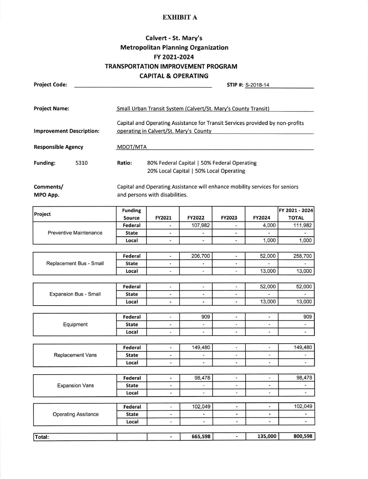#### EXHIBIT A

### Calvert - St. Mary's Metropolitan Planning Organization FY 2021-2024 TRANSPORTATION IMPROVEMENT PROGRAM CAPITAL & OPERATING

| <b>Project Code:</b>                  | <b>CAPITAL &amp; OPERATING</b><br>STIP #: S-2018-14                           |                                                                                        |                                                                             |                          |                          |                                |  |  |  |  |
|---------------------------------------|-------------------------------------------------------------------------------|----------------------------------------------------------------------------------------|-----------------------------------------------------------------------------|--------------------------|--------------------------|--------------------------------|--|--|--|--|
|                                       |                                                                               |                                                                                        |                                                                             |                          |                          |                                |  |  |  |  |
|                                       |                                                                               |                                                                                        |                                                                             |                          |                          |                                |  |  |  |  |
| <b>Project Name:</b>                  |                                                                               |                                                                                        |                                                                             |                          |                          |                                |  |  |  |  |
|                                       |                                                                               | Small Urban Transit System (Calvert/St. Mary's County Transit)                         |                                                                             |                          |                          |                                |  |  |  |  |
|                                       | Capital and Operating Assistance for Transit Services provided by non-profits |                                                                                        |                                                                             |                          |                          |                                |  |  |  |  |
| <b>Improvement Description:</b>       |                                                                               |                                                                                        |                                                                             |                          |                          |                                |  |  |  |  |
|                                       | operating in Calvert/St. Mary's County                                        |                                                                                        |                                                                             |                          |                          |                                |  |  |  |  |
| <b>Responsible Agency</b><br>MDOT/MTA |                                                                               |                                                                                        |                                                                             |                          |                          |                                |  |  |  |  |
|                                       |                                                                               |                                                                                        |                                                                             |                          |                          |                                |  |  |  |  |
| <b>Funding:</b><br>5310               | Ratio:                                                                        |                                                                                        |                                                                             |                          |                          |                                |  |  |  |  |
|                                       |                                                                               | 80% Federal Capital   50% Federal Operating<br>20% Local Capital   50% Local Operating |                                                                             |                          |                          |                                |  |  |  |  |
|                                       |                                                                               |                                                                                        |                                                                             |                          |                          |                                |  |  |  |  |
|                                       |                                                                               |                                                                                        | Capital and Operating Assistance will enhance mobility services for seniors |                          |                          |                                |  |  |  |  |
| Comments/                             |                                                                               |                                                                                        |                                                                             |                          |                          |                                |  |  |  |  |
| MPO App.                              |                                                                               | and persons with disabilities.                                                         |                                                                             |                          |                          |                                |  |  |  |  |
|                                       |                                                                               |                                                                                        |                                                                             |                          |                          |                                |  |  |  |  |
| Project                               | <b>Funding</b><br>Source                                                      | <b>FY2021</b>                                                                          | <b>FY2022</b>                                                               | <b>FY2023</b>            | <b>FY2024</b>            | FY 2021 - 2024<br><b>TOTAL</b> |  |  |  |  |
|                                       | Federal                                                                       |                                                                                        | 107,982                                                                     |                          | 4,000                    | 111,982                        |  |  |  |  |
| <b>Preventive Maintenance</b>         | <b>State</b>                                                                  |                                                                                        |                                                                             |                          |                          |                                |  |  |  |  |
|                                       | Local                                                                         | $\overline{\phantom{a}}$                                                               |                                                                             |                          | 1,000                    | 1,000                          |  |  |  |  |
|                                       |                                                                               |                                                                                        |                                                                             |                          |                          |                                |  |  |  |  |
|                                       |                                                                               |                                                                                        |                                                                             |                          |                          |                                |  |  |  |  |
|                                       | Federal                                                                       | $\overline{\phantom{0}}$                                                               | 206,700                                                                     | $\omega$                 | 52,000                   | 258,700                        |  |  |  |  |
| Replacement Bus - Small               | <b>State</b>                                                                  | $\overline{\phantom{a}}$                                                               | $\overline{\phantom{a}}$                                                    |                          | Ξ                        | $\overline{\phantom{0}}$       |  |  |  |  |
|                                       | Local                                                                         | ۰                                                                                      | $\overline{a}$                                                              | $\overline{\phantom{a}}$ | 13,000                   | 13,000                         |  |  |  |  |
|                                       | Federal                                                                       |                                                                                        |                                                                             |                          |                          |                                |  |  |  |  |
|                                       |                                                                               | $\overline{\phantom{a}}$                                                               | -<br>÷.                                                                     | $\blacksquare$           | 52,000                   | 52,000<br>ä,                   |  |  |  |  |
| <b>Expansion Bus - Small</b>          | <b>State</b>                                                                  | $\overline{\phantom{a}}$                                                               |                                                                             | ÷.                       | 13,000                   |                                |  |  |  |  |
|                                       | Local                                                                         | $\overline{\phantom{a}}$                                                               |                                                                             |                          |                          | 13,000                         |  |  |  |  |
|                                       | Federal                                                                       | g                                                                                      | 909                                                                         | £.                       | ۵                        | 909                            |  |  |  |  |
| Equipment                             | <b>State</b>                                                                  | $\overline{\phantom{0}}$                                                               | $\overline{\phantom{0}}$                                                    | $\overline{\phantom{a}}$ | $\overline{\phantom{a}}$ | $\overline{\phantom{a}}$       |  |  |  |  |
|                                       | Local                                                                         |                                                                                        |                                                                             | $\overline{\phantom{a}}$ |                          | $\blacksquare$                 |  |  |  |  |
|                                       |                                                                               |                                                                                        |                                                                             |                          |                          |                                |  |  |  |  |
|                                       | <b>Federal</b>                                                                | $\overline{\phantom{a}}$                                                               | 149,480                                                                     | $\bar{\phantom{a}}$      | $\equiv$                 | 149,480                        |  |  |  |  |
| Replacement Vans                      | <b>State</b>                                                                  | ÷                                                                                      | ¥                                                                           | ¥.                       | a.                       | -                              |  |  |  |  |
|                                       | Local                                                                         | $\overline{\phantom{a}}$                                                               | -                                                                           | -                        | $\overline{\phantom{a}}$ | $\frac{1}{2}$                  |  |  |  |  |
|                                       |                                                                               |                                                                                        |                                                                             |                          |                          |                                |  |  |  |  |
|                                       | Federal                                                                       | $\overline{\phantom{a}}$                                                               | 98,478                                                                      | -                        | $\overline{\phantom{a}}$ | 98,478                         |  |  |  |  |
| <b>Expansion Vans</b>                 | <b>State</b>                                                                  | $\blacksquare$                                                                         |                                                                             | -                        | $\blacksquare$           |                                |  |  |  |  |
|                                       | Local                                                                         | ٠                                                                                      |                                                                             | ×                        | $\blacksquare$           | -                              |  |  |  |  |
|                                       |                                                                               |                                                                                        |                                                                             |                          |                          |                                |  |  |  |  |
|                                       | Federal                                                                       | $\overline{\phantom{a}}$                                                               | 102,049                                                                     | ۰                        | $\blacksquare$           | 102,049                        |  |  |  |  |
| <b>Operating Assitance</b>            | <b>State</b>                                                                  | $\overline{\phantom{a}}$                                                               |                                                                             | $\frac{1}{2}$            | $\blacksquare$           |                                |  |  |  |  |
|                                       | Local                                                                         | -                                                                                      | $\overline{\phantom{0}}$                                                    | $\overline{\phantom{0}}$ | $\overline{\phantom{a}}$ |                                |  |  |  |  |
|                                       |                                                                               |                                                                                        |                                                                             |                          |                          |                                |  |  |  |  |
| Total:                                |                                                                               |                                                                                        | 665,598                                                                     | $\blacksquare$           | 135,000                  | 800,598                        |  |  |  |  |
|                                       |                                                                               |                                                                                        |                                                                             |                          |                          |                                |  |  |  |  |